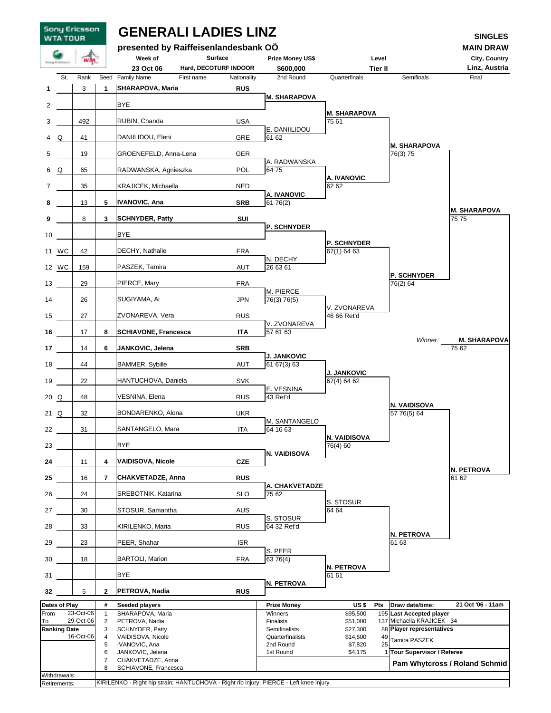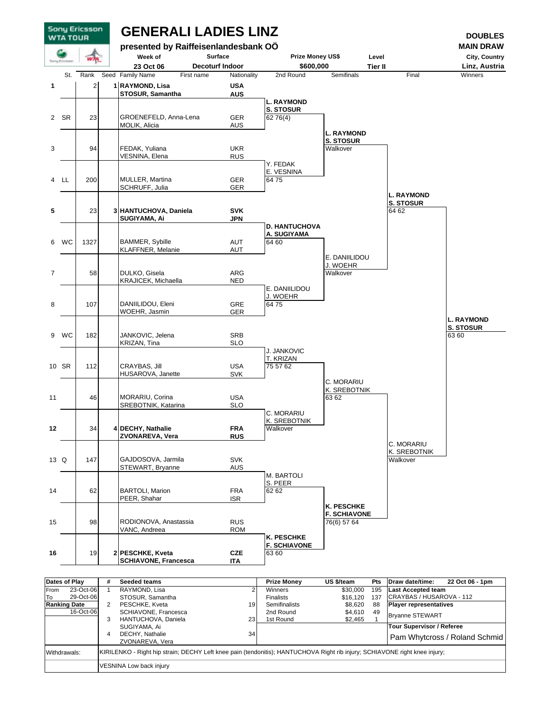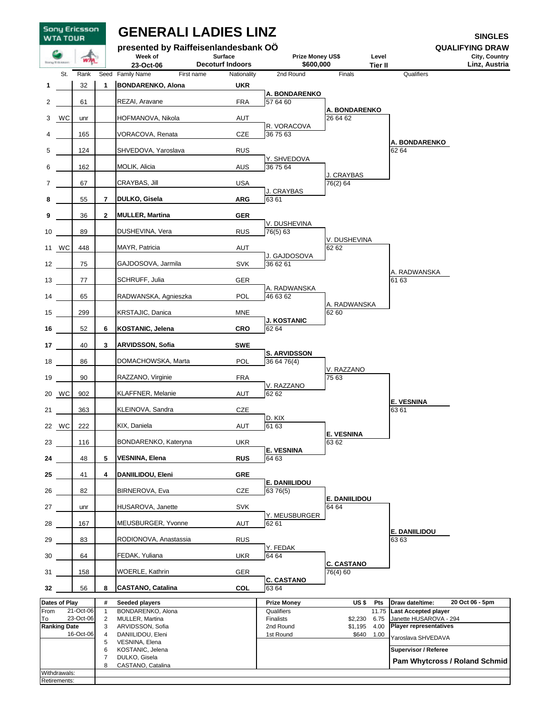